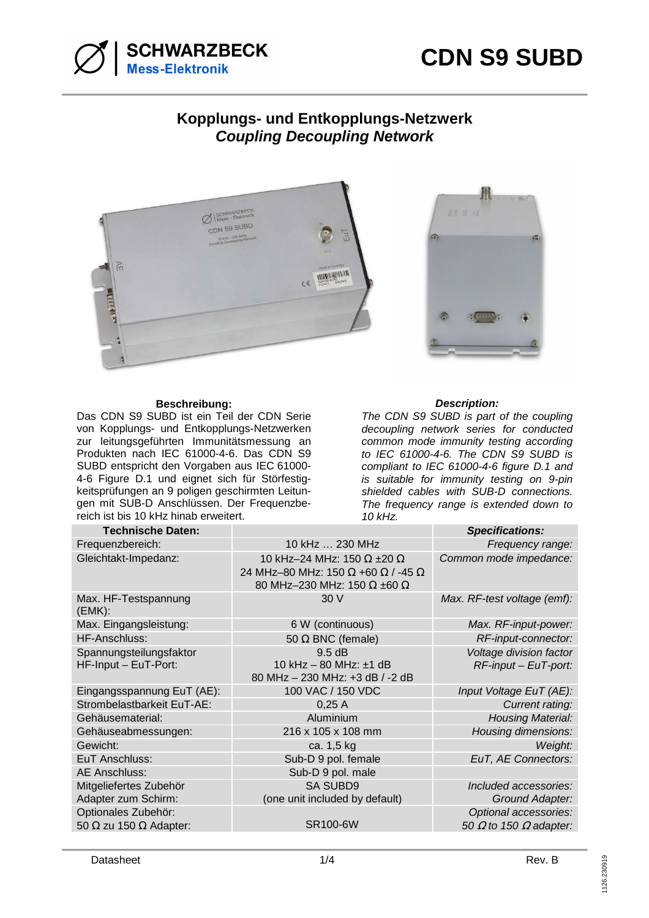



## **Kopplungs- und Entkopplungs-Netzwerk Coupling Decoupling Network**



## **Beschreibung: Description:**

Das CDN S9 SUBD ist ein Teil der CDN Serie von Kopplungs- und Entkopplungs-Netzwerken zur leitungsgeführten Immunitätsmessung an Produkten nach IEC 61000-4-6. Das CDN S9 SUBD entspricht den Vorgaben aus IEC 61000- 4-6 Figure D.1 und eignet sich für Störfestigkeitsprüfungen an 9 poligen geschirmten Leitungen mit SUB-D Anschlüssen. Der Frequenzbereich ist bis 10 kHz hinab erweitert.



The CDN S9 SUBD is part of the coupling decoupling network series for conducted common mode immunity testing according to IEC 61000-4-6. The CDN S9 SUBD is compliant to IEC 61000-4-6 figure D.1 and is suitable for immunity testing on 9-pin shielded cables with SUB-D connections. The frequency range is extended down to 10 kHz.

| <b>Technische Daten:</b>                                    |                                                                                                               | <b>Specifications:</b>                                        |
|-------------------------------------------------------------|---------------------------------------------------------------------------------------------------------------|---------------------------------------------------------------|
| Frequenzbereich:                                            | 10 kHz  230 MHz                                                                                               | Frequency range:                                              |
| Gleichtakt-Impedanz:                                        | 10 kHz-24 MHz: 150 $\Omega$ ±20 $\Omega$<br>24 MHz-80 MHz: 150 Ω +60 Ω / -45 Ω<br>80 MHz-230 MHz: 150 Ω ±60 Ω | Common mode impedance:                                        |
| Max. HF-Testspannung<br>(EMK):                              | 30 V                                                                                                          | Max. RF-test voltage (emf):                                   |
| Max. Eingangsleistung:                                      | 6 W (continuous)                                                                                              | Max. RF-input-power:                                          |
| HF-Anschluss:                                               | 50 $\Omega$ BNC (female)                                                                                      | RF-input-connector:                                           |
| Spannungsteilungsfaktor<br>HF-Input - EuT-Port:             | 9.5 dB<br>10 kHz $-$ 80 MHz: $\pm$ 1 dB<br>80 MHz - 230 MHz: +3 dB / -2 dB                                    | Voltage division factor<br>$RF$ -input – EuT-port:            |
| Eingangsspannung EuT (AE):                                  | 100 VAC / 150 VDC                                                                                             | Input Voltage EuT (AE):                                       |
| Strombelastbarkeit EuT-AE:                                  | 0,25A                                                                                                         | Current rating:                                               |
| Gehäusematerial:                                            | Aluminium                                                                                                     | <b>Housing Material:</b>                                      |
| Gehäuseabmessungen:                                         | 216 x 105 x 108 mm                                                                                            | Housing dimensions:                                           |
| Gewicht:                                                    | ca. 1,5 kg                                                                                                    | Weight:                                                       |
| EuT Anschluss:                                              | Sub-D 9 pol. female                                                                                           | EuT, AE Connectors:                                           |
| AE Anschluss:                                               | Sub-D 9 pol. male                                                                                             |                                                               |
| Mitgeliefertes Zubehör<br>Adapter zum Schirm:               | <b>SA SUBD9</b><br>(one unit included by default)                                                             | Included accessories:<br>Ground Adapter:                      |
| Optionales Zubehör:<br>50 $\Omega$ zu 150 $\Omega$ Adapter: | <b>SR100-6W</b>                                                                                               | Optional accessories:<br>50 $\Omega$ to 150 $\Omega$ adapter: |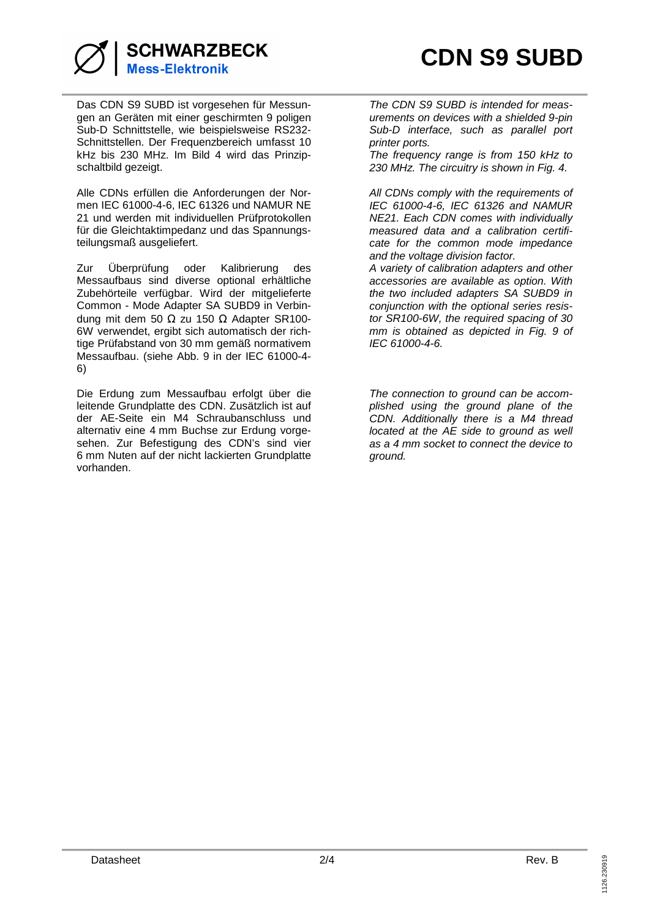

Das CDN S9 SUBD ist vorgesehen für Messungen an Geräten mit einer geschirmten 9 poligen Sub-D Schnittstelle, wie beispielsweise RS232- Schnittstellen. Der Frequenzbereich umfasst 10 kHz bis 230 MHz. Im Bild 4 wird das Prinzipschaltbild gezeigt.

Alle CDNs erfüllen die Anforderungen der Normen IEC 61000-4-6, IEC 61326 und NAMUR NE 21 und werden mit individuellen Prüfprotokollen für die Gleichtaktimpedanz und das Spannungsteilungsmaß ausgeliefert.

Zur Überprüfung oder Kalibrierung des Messaufbaus sind diverse optional erhältliche Zubehörteile verfügbar. Wird der mitgelieferte Common - Mode Adapter SA SUBD9 in Verbindung mit dem 50 Ω zu 150 Ω Adapter SR100-6W verwendet, ergibt sich automatisch der richtige Prüfabstand von 30 mm gemäß normativem Messaufbau. (siehe Abb. 9 in der IEC 61000-4- 6)

Die Erdung zum Messaufbau erfolgt über die leitende Grundplatte des CDN. Zusätzlich ist auf der AE-Seite ein M4 Schraubanschluss und alternativ eine 4 mm Buchse zur Erdung vorgesehen. Zur Befestigung des CDN's sind vier 6 mm Nuten auf der nicht lackierten Grundplatte vorhanden.

The CDN S9 SUBD is intended for measurements on devices with a shielded 9-pin Sub-D interface, such as parallel port printer ports.

The frequency range is from 150 kHz to 230 MHz. The circuitry is shown in Fig. 4.

All CDNs comply with the requirements of IEC 61000-4-6, IEC 61326 and NAMUR NE21. Each CDN comes with individually measured data and a calibration certificate for the common mode impedance and the voltage division factor.

A variety of calibration adapters and other accessories are available as option. With the two included adapters SA SUBD9 in conjunction with the optional series resistor SR100-6W, the required spacing of 30 mm is obtained as depicted in Fig. 9 of IEC 61000-4-6.

The connection to ground can be accomplished using the ground plane of the CDN. Additionally there is a M4 thread located at the AE side to ground as well as a 4 mm socket to connect the device to ground.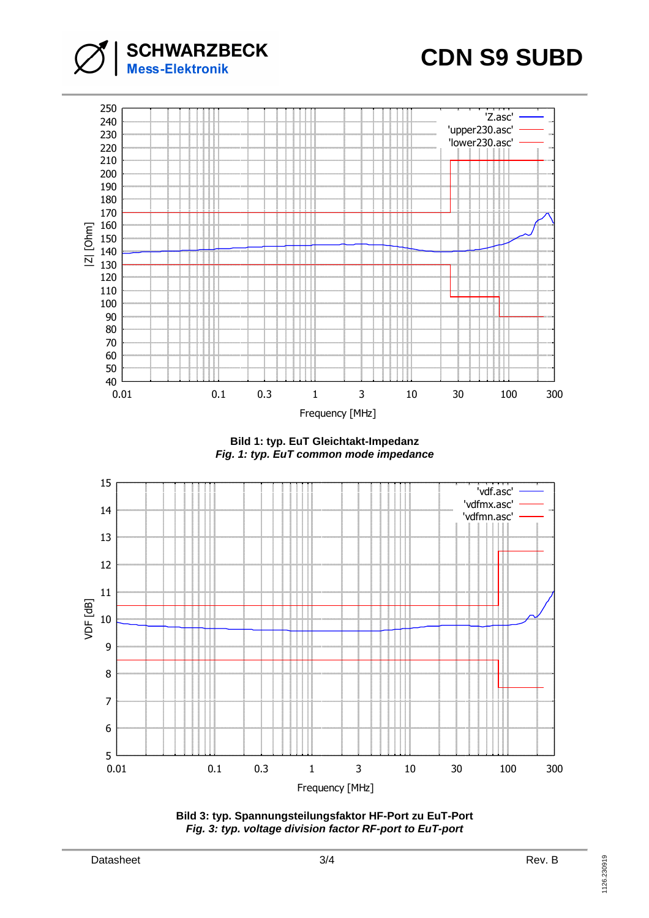





**Bild 1: typ. EuT Gleichtakt-Impedanz Fig. 1: typ. EuT common mode impedance**